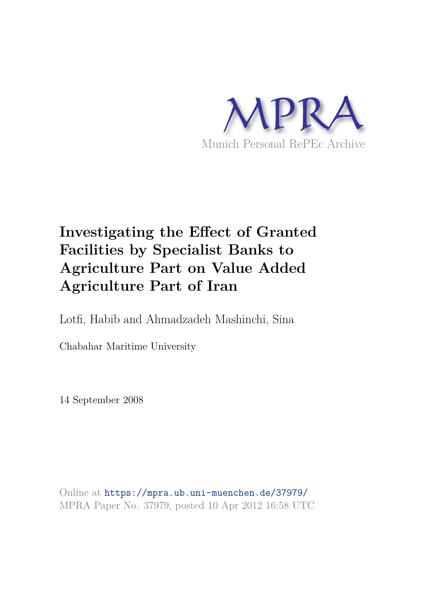

# **Investigating the Effect of Granted Facilities by Specialist Banks to Agriculture Part on Value Added Agriculture Part of Iran**

Lotfi, Habib and Ahmadzadeh Mashinchi, Sina

Chabahar Maritime University

14 September 2008

Online at https://mpra.ub.uni-muenchen.de/37979/ MPRA Paper No. 37979, posted 10 Apr 2012 16:58 UTC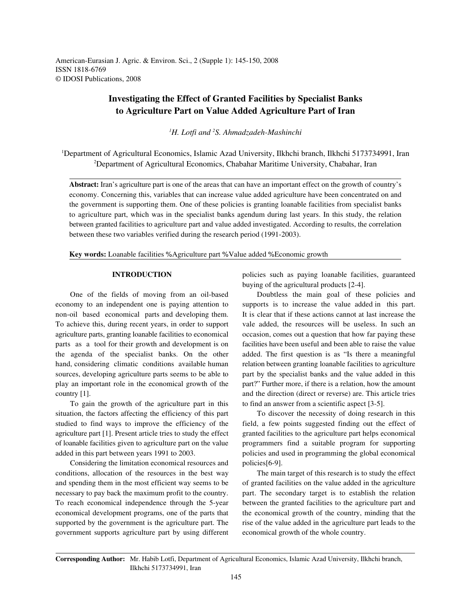American-Eurasian J. Agric. & Environ. Sci., 2 (Supple 1): 145-150, 2008 ISSN 1818-6769 © IDOSI Publications, 2008

## **Investigating the Effect of Granted Facilities by Specialist Banks to Agriculture Part on Value Added Agriculture Part of Iran**

<sup>1</sup>H. Lotfi and <sup>2</sup>S. Ahmadzadeh-Mashinchi

<sup>1</sup>Department of Agricultural Economics, Islamic Azad University, Ilkhchi branch, Ilkhchi 5173734991, Iran <sup>2</sup>Department of Agricultural Economics, Chabahar Maritime University, Chabahar, Iran

**Abstract:** Iran's agriculture part is one of the areas that can have an important effect on the growth of country's economy. Concerning this, variables that can increase value added agriculture have been concentrated on and the government is supporting them. One of these policies is granting loanable facilities from specialist banks to agriculture part, which was in the specialist banks agendum during last years. In this study, the relation between granted facilities to agriculture part and value added investigated. According to results, the correlation between these two variables verified during the research period (1991-2003).

**Key words:** Loanable facilities % Agriculture part % Value added % Economic growth

economy to an independent one is paying attention to supports is to increase the value added in this part. non-oil based economical parts and developing them. It is clear that if these actions cannot at last increase the To achieve this, during recent years, in order to support vale added, the resources will be useless. In such an agriculture parts, granting loanable facilities to economical occasion, comes out a question that how far paying these parts as a tool for their growth and development is on facilities have been useful and been able to raise the value the agenda of the specialist banks. On the other added. The first question is as "Is there a meaningful hand, considering climatic conditions available human relation between granting loanable facilities to agriculture sources, developing agriculture parts seems to be able to part by the specialist banks and the value added in this play an important role in the economical growth of the part?" Further more, if there is a relation, how the amount country [1]. and the direction (direct or reverse) are. This article tries

To gain the growth of the agriculture part in this to find an answer from a scientific aspect [3-5]. situation, the factors affecting the efficiency of this part To discover the necessity of doing research in this studied to find ways to improve the efficiency of the field, a few points suggested finding out the effect of agriculture part [1]. Present article tries to study the effect granted facilities to the agriculture part helps economical of loanable facilities given to agriculture part on the value programmers find a suitable program for supporting added in this part between years 1991 to 2003. policies and used in programming the global economical

Considering the limitation economical resources and policies [6-9]. conditions, allocation of the resources in the best way The main target of this research is to study the effect and spending them in the most efficient way seems to be of granted facilities on the value added in the agriculture necessary to pay back the maximum profit to the country. part. The secondary target is to establish the relation To reach economical independence through the 5-year between the granted facilities to the agriculture part and economical development programs, one of the parts that the economical growth of the country, minding that the supported by the government is the agriculture part. The rise of the value added in the agriculture part leads to the government supports agriculture part by using different economical growth of the whole country.

**INTRODUCTION** policies such as paying loanable facilities, guaranteed buying of the agricultural products [2-4].

One of the fields of moving from an oil-based Doubtless the main goal of these policies and

**Corresponding Author:** Mr. Habib Lotfi, Department of Agricultural Economics, Islamic Azad University, Ilkhchi branch, Ilkhchi 5173734991, Iran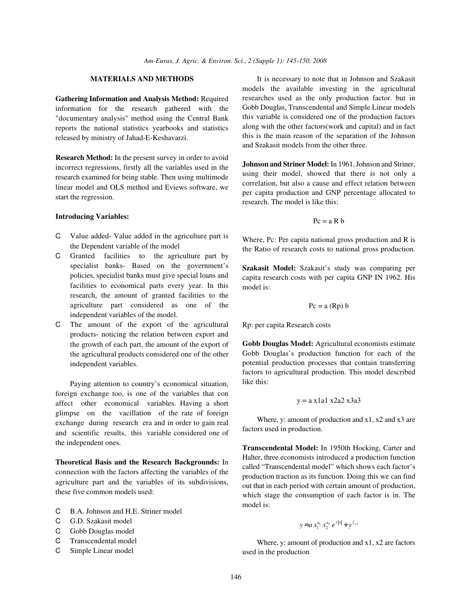**Gathering Information and Analysis Method:** Required information for the research gathered with the "documentary analysis" method using the Central Bank reports the national statistics yearbooks and statistics released by ministry of Jahad-E-Keshavarzi.

**Research Method:** In the present survey in order to avoid incorrect regressions, firstly all the variables used in the research examined for being stable. Then using multimode linear model and OLS method and Eviews software, we start the regression.

### **Introducing Variables:**

- C Value added- Value added in the agriculture part is the Dependent variable of the model
- C Granted facilities to the agriculture part by specialist banks- Based on the government's policies, specialist banks must give special loans and facilities to economical parts every year. In this research, the amount of granted facilities to the agriculture part considered as one of the independent variables of the model.
- C The amount of the export of the agricultural products- noticing the relation between export and the growth of each part, the amount of the export of the agricultural products considered one of the other independent variables.

Paying attention to country's economical situation, foreign exchange too, is one of the variables that con affect other economical variables. Having a short glimpse on the vacillation of the rate of foreign exchange during research era and in order to gain real and scientific results, this variable considered one of the independent ones.

**Theoretical Basis and the Research Backgrounds:** In connection with the factors affecting the variables of the agriculture part and the variables of its subdivisions, these five common models used:

- C B.A. Johnson and H.E. Striner model
- C G.D. Szakasit model
- C Gobb Douglas model
- C Transcendental model
- C Simple Linear model

**MATERIALS AND METHODS** It is necessary to note that in Johnson and Szakasit models the available investing in the agricultural researches used as the only production factor. but in Gobb Douglas, Transcendental and Simple Linear models this variable is considered one of the production factors along with the other factors(work and capital) and in fact this is the main reason of the separation of the Johnson and Szakasit models from the other three.

> **Johnson and Striner Model:** In 1961, Johnson and Striner, using their model, showed that there is not only a correlation, but also a cause and effect relation between per capita production and GNP percentage allocated to research. The model is like this:

$$
Pc = a R b
$$

Where, Pc: Per capita national gross production and R is the Ratio of research costs to national gross production.

**Szakasit Model:** Szakasit's study was comparing per capita research costs with per capita GNP IN 1962. His model is:

$$
Pc = a (Rp) b
$$

Rp: per capita Research costs

**Gobb Douglas Model:** Agricultural economists estimate Gobb Douglas's production function for each of the potential production processes that contain transferring factors to agricultural production. This model described like this:

$$
y = a \times 1a1 \times 2a2 \times 3a3
$$

Where, y: amount of production and  $x1$ ,  $x2$  and  $x3$  are factors used in production.

**Transcendental Model:** In 1950th Hocking, Carter and Halter, three economists introduced a production function called "Transcendental model" which shows each factor's production traction as its function. Doing this we can find out that in each period with certain amount of production, which stage the consumption of each factor is in. The model is:

$$
y = a x_1^{a_1} x_2^{a_2} e^{y|x|} + y^{2x_2}
$$

Where, y: amount of production and  $x1$ ,  $x2$  are factors used in the production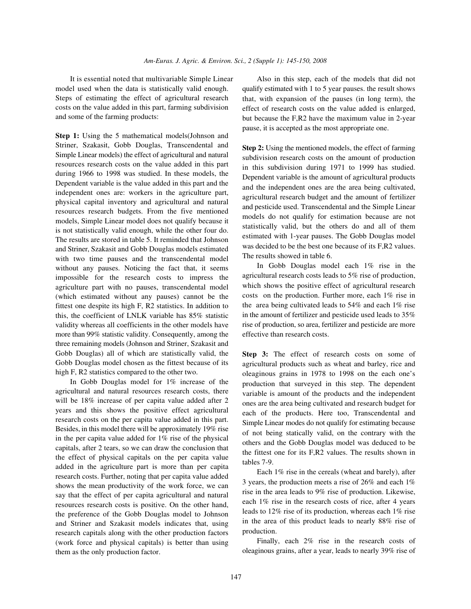model used when the data is statistically valid enough. Steps of estimating the effect of agricultural research costs on the value added in this part, farming subdivision and some of the farming products:

**Step 1:** Using the 5 mathematical models(Johnson and Striner, Szakasit, Gobb Douglas, Transcendental and Simple Linear models) the effect of agricultural and natural resources research costs on the value added in this part during 1966 to 1998 was studied. In these models, the Dependent variable is the value added in this part and the independent ones are: workers in the agriculture part, physical capital inventory and agricultural and natural resources research budgets. From the five mentioned models, Simple Linear model does not qualify because it is not statistically valid enough, while the other four do. The results are stored in table 5. It reminded that Johnson and Striner, Szakasit and Gobb Douglas models estimated with two time pauses and the transcendental model without any pauses. Noticing the fact that, it seems impossible for the research costs to impress the agriculture part with no pauses, transcendental model (which estimated without any pauses) cannot be the fittest one despite its high F, R2 statistics. In addition to this, the coefficient of LNLK variable has 85% statistic validity whereas all coefficients in the other models have more than 99% statistic validity. Consequently, among the three remaining models (Johnson and Striner, Szakasit and Gobb Douglas) all of which are statistically valid, the Gobb Douglas model chosen as the fittest because of its high F, R2 statistics compared to the other two.

In Gobb Douglas model for 1% increase of the agricultural and natural resources research costs, there will be 18% increase of per capita value added after 2 years and this shows the positive effect agricultural research costs on the per capita value added in this part. Besides, in this model there will be approximately 19% rise in the per capita value added for  $1\%$  rise of the physical capitals, after 2 tears, so we can draw the conclusion that the effect of physical capitals on the per capita value added in the agriculture part is more than per capita research costs. Further, noting that per capita value added shows the mean productivity of the work force, we can say that the effect of per capita agricultural and natural resources research costs is positive. On the other hand, the preference of the Gobb Douglas model to Johnson and Striner and Szakasit models indicates that, using research capitals along with the other production factors (work force and physical capitals) is better than using them as the only production factor.

It is essential noted that multivariable Simple Linear Also in this step, each of the models that did not qualify estimated with 1 to 5 year pauses. the result shows that, with expansion of the pauses (in long term), the effect of research costs on the value added is enlarged, but because the F,R2 have the maximum value in 2-year pause, it is accepted as the most appropriate one.

> **Step 2:** Using the mentioned models, the effect of farming subdivision research costs on the amount of production in this subdivision during 1971 to 1999 has studied. Dependent variable is the amount of agricultural products and the independent ones are the area being cultivated, agricultural research budget and the amount of fertilizer and pesticide used. Transcendental and the Simple Linear models do not qualify for estimation because are not statistically valid, but the others do and all of them estimated with 1-year pauses. The Gobb Douglas model was decided to be the best one because of its F,R2 values. The results showed in table 6.

> In Gobb Douglas model each 1% rise in the agricultural research costs leads to 5% rise of production, which shows the positive effect of agricultural research costs on the production. Further more, each 1% rise in the area being cultivated leads to 54% and each 1% rise in the amount of fertilizer and pesticide used leads to 35% rise of production, so area, fertilizer and pesticide are more effective than research costs.

> **Step 3:** The effect of research costs on some of agricultural products such as wheat and barley, rice and oleaginous grains in 1978 to 1998 on the each one's production that surveyed in this step. The dependent variable is amount of the products and the independent ones are the area being cultivated and research budget for each of the products. Here too, Transcendental and Simple Linear modes do not qualify for estimating because of not being statically valid, on the contrary with the others and the Gobb Douglas model was deduced to be the fittest one for its F,R2 values. The results shown in tables 7-9.

> Each 1% rise in the cereals (wheat and barely), after 3 years, the production meets a rise of 26% and each 1% rise in the area leads to 9% rise of production. Likewise, each 1% rise in the research costs of rice, after 4 years leads to 12% rise of its production, whereas each 1% rise in the area of this product leads to nearly 88% rise of production.

> Finally, each 2% rise in the research costs of oleaginous grains, after a year, leads to nearly 39% rise of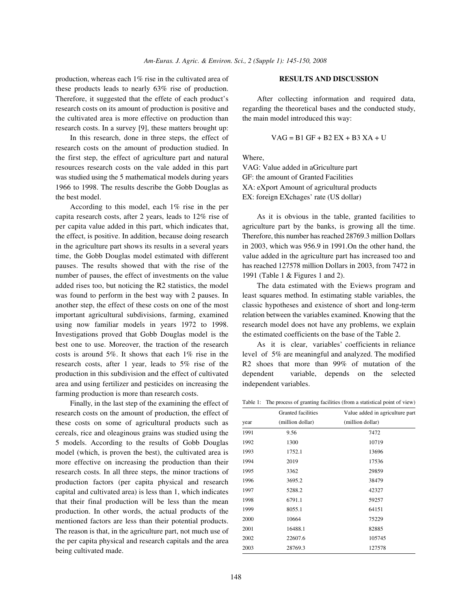production, whereas each 1% rise in the cultivated area of **RESULTS AND DISCUSSION** these products leads to nearly 63% rise of production. Therefore, it suggested that the effete of each product's After collecting information and required data, research costs on its amount of production is positive and regarding the theoretical bases and the conducted study, the cultivated area is more effective on production than the main model introduced this way: research costs. In a survey [9], these matters brought up:

In this research, done in three steps, the effect of research costs on the amount of production studied. In the first step, the effect of agriculture part and natural Where, resources research costs on the vale added in this part VAG: Value added in aGriculture part was studied using the 5 mathematical models during years GF: the amount of Granted Facilities 1966 to 1998. The results describe the Gobb Douglas as XA: eXport Amount of agricultural products the best model. EX: foreign EXchages' rate (US dollar)

According to this model, each 1% rise in the per capita research costs, after 2 years, leads to 12% rise of As it is obvious in the table, granted facilities to number of pauses, the effect of investments on the value 1991 (Table 1 & Figures 1 and 2). added rises too, but noticing the R2 statistics, the model The data estimated with the Eviews program and was found to perform in the best way with 2 pauses. In least squares method. In estimating stable variables, the another step, the effect of these costs on one of the most classic hypotheses and existence of short and long-term important agricultural subdivisions, farming, examined relation between the variables examined. Knowing that the using now familiar models in years 1972 to 1998. research model does not have any problems, we explain Investigations proved that Gobb Douglas model is the the estimated coefficients on the base of the Table 2. best one to use. Moreover, the traction of the research As it is clear, variables' coefficients in reliance costs is around 5%. It shows that each 1% rise in the level of 5% are meaningful and analyzed. The modified research costs, after 1 year, leads to 5% rise of the R2 shoes that more than 99% of mutation of the production in this subdivision and the effect of cultivated dependent variable, depends on the selected area and using fertilizer and pesticides on increasing the independent variables. farming production is more than research costs.

Finally, in the last step of the examining the effect of research costs on the amount of production, the effect of these costs on some of agricultural products such as cereals, rice and oleaginous grains was studied using the 5 models. According to the results of Gobb Douglas model (which, is proven the best), the cultivated area is more effective on increasing the production than their research costs. In all three steps, the minor tractions of production factors (per capita physical and research capital and cultivated area) is less than 1, which indicates that their final production will be less than the mean production. In other words, the actual products of the mentioned factors are less than their potential products. The reason is that, in the agriculture part, not much use of the per capita physical and research capitals and the area being cultivated made.

$$
VAG = B1 GF + B2 EX + B3 XA + U
$$

per capita value added in this part, which indicates that, agriculture part by the banks, is growing all the time. the effect, is positive. In addition, because doing research Therefore, this number has reached 28769.3 million Dollars in the agriculture part shows its results in a several years in 2003, which was 956.9 in 1991.On the other hand, the time, the Gobb Douglas model estimated with different value added in the agriculture part has increased too and pauses. The results showed that with the rise of the has reached 127578 million Dollars in 2003, from 7472 in

|  | Table 1: The process of granting facilities (from a statistical point of view) |  |  |  |  |  |  |
|--|--------------------------------------------------------------------------------|--|--|--|--|--|--|
|--|--------------------------------------------------------------------------------|--|--|--|--|--|--|

|      | Granted facilities | Value added in agriculture part |  |  |  |
|------|--------------------|---------------------------------|--|--|--|
| year | (million dollar)   | (million dollar)                |  |  |  |
| 1991 | 9.56               | 7472                            |  |  |  |
| 1992 | 1300               | 10719                           |  |  |  |
| 1993 | 1752.1             | 13696                           |  |  |  |
| 1994 | 2019               | 17536                           |  |  |  |
| 1995 | 3362               | 29859                           |  |  |  |
| 1996 | 3695.2             | 38479                           |  |  |  |
| 1997 | 5288.2             | 42327                           |  |  |  |
| 1998 | 6791.1             | 59257                           |  |  |  |
| 1999 | 8055.1             | 64151                           |  |  |  |
| 2000 | 10664              | 75229                           |  |  |  |
| 2001 | 16488.1            | 82885                           |  |  |  |
| 2002 | 22607.6            | 105745                          |  |  |  |
| 2003 | 28769.3            | 127578                          |  |  |  |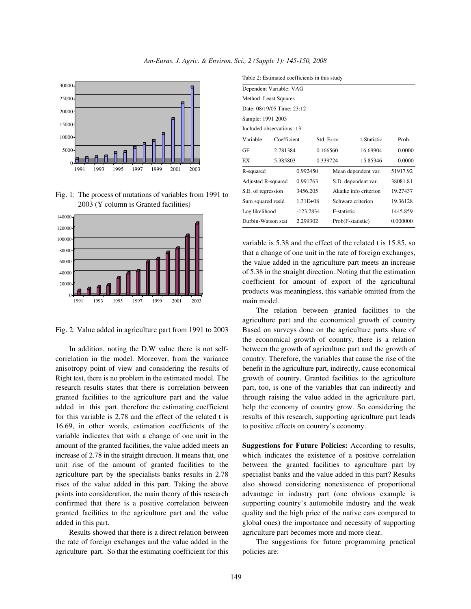



Fig. 1: The process of mutations of variables from 1991 to 2003 (Y column is Granted facilities)



Fig. 2: Value added in agriculture part from 1991 to 2003

In addition, noting the D.W value there is not selfcorrelation in the model. Moreover, from the variance anisotropy point of view and considering the results of Right test, there is no problem in the estimated model. The research results states that there is correlation between granted facilities to the agriculture part and the value added in this part. therefore the estimating coefficient for this variable is 2.78 and the effect of the related t is 16.69, in other words, estimation coefficients of the variable indicates that with a change of one unit in the amount of the granted facilities, the value added meets an increase of 2.78 in the straight direction. It means that, one unit rise of the amount of granted facilities to the agriculture part by the specialists banks results in 2.78 rises of the value added in this part. Taking the above points into consideration, the main theory of this research confirmed that there is a positive correlation between granted facilities to the agriculture part and the value added in this part.

Results showed that there is a direct relation between the rate of foreign exchanges and the value added in the agriculture part. So that the estimating coefficient for this

| Table 2: Estimated coefficients in this study |             |              |            |                       |             |          |  |  |  |  |
|-----------------------------------------------|-------------|--------------|------------|-----------------------|-------------|----------|--|--|--|--|
| Dependent Variable: VAG                       |             |              |            |                       |             |          |  |  |  |  |
| Method: Least Squares                         |             |              |            |                       |             |          |  |  |  |  |
| Date: 08/19/05 Time: 23:12                    |             |              |            |                       |             |          |  |  |  |  |
| Sample: 1991 2003                             |             |              |            |                       |             |          |  |  |  |  |
| Included observations: 13                     |             |              |            |                       |             |          |  |  |  |  |
| Variable                                      | Coefficient |              | Std. Error |                       | t-Statistic | Prob.    |  |  |  |  |
| GF                                            | 2.781384    |              | 0.166560   |                       | 16.69904    | 0.0000   |  |  |  |  |
| EX                                            | 5.385803    |              | 0.339724   |                       | 15.85346    | 0.0000   |  |  |  |  |
| R-squared                                     |             | 0.992450     |            | Mean dependent var.   |             | 51917.92 |  |  |  |  |
| Adjusted R-squared                            |             | 0.991763     |            | S.D. dependent var.   |             | 38081.81 |  |  |  |  |
| S.E. of regression                            |             | 3456.205     |            | Akaike info criterion |             | 19.27437 |  |  |  |  |
| Sum squared resid                             |             | $1.31E + 08$ |            | Schwarz criterion     |             | 19.36128 |  |  |  |  |
| Log likelihood                                |             | $-123.2834$  |            | F-statistic           |             | 1445.859 |  |  |  |  |
| Durbin-Watson stat                            |             | 2.299302     |            | Prob(F-statistic)     |             | 0.000000 |  |  |  |  |

variable is 5.38 and the effect of the related t is 15.85, so that a change of one unit in the rate of foreign exchanges, the value added in the agriculture part meets an increase of 5.38 in the straight direction. Noting that the estimation coefficient for amount of export of the agricultural products was meaningless, this variable omitted from the main model.

The relation between granted facilities to the agriculture part and the economical growth of country Based on surveys done on the agriculture parts share of the economical growth of country, there is a relation between the growth of agriculture part and the growth of country. Therefore, the variables that cause the rise of the benefit in the agriculture part, indirectly, cause economical growth of country. Granted facilities to the agriculture part, too, is one of the variables that can indirectly and through raising the value added in the agriculture part, help the economy of country grow. So considering the results of this research, supporting agriculture part leads to positive effects on country's economy.

**Suggestions for Future Policies:** According to results, which indicates the existence of a positive correlation between the granted facilities to agriculture part by specialist banks and the value added in this part? Results also showed considering nonexistence of proportional advantage in industry part (one obvious example is supporting country's automobile industry and the weak quality and the high price of the native cars compared to global ones) the importance and necessity of supporting agriculture part becomes more and more clear.

The suggestions for future programming practical policies are: